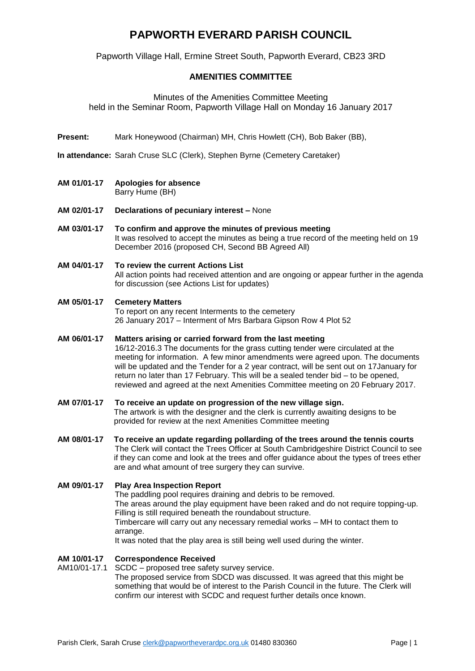# **PAPWORTH EVERARD PARISH COUNCIL**

Papworth Village Hall, Ermine Street South, Papworth Everard, CB23 3RD

## **AMENITIES COMMITTEE**

### Minutes of the Amenities Committee Meeting

held in the Seminar Room, Papworth Village Hall on Monday 16 January 2017

- **Present:** Mark Honeywood (Chairman) MH, Chris Howlett (CH), Bob Baker (BB),
- **In attendance:** Sarah Cruse SLC (Clerk), Stephen Byrne (Cemetery Caretaker)
- **AM 01/01-17 Apologies for absence** Barry Hume (BH)
- **AM 02/01-17 Declarations of pecuniary interest –** None
- **AM 03/01-17 To confirm and approve the minutes of previous meeting** It was resolved to accept the minutes as being a true record of the meeting held on 19 December 2016 (proposed CH, Second BB Agreed All)
- **AM 04/01-17 To review the current Actions List**  All action points had received attention and are ongoing or appear further in the agenda for discussion (see Actions List for updates)

#### **AM 05/01-17 Cemetery Matters**

To report on any recent Interments to the cemetery 26 January 2017 – Interment of Mrs Barbara Gipson Row 4 Plot 52

## **AM 06/01-17 Matters arising or carried forward from the last meeting**

16/12-2016.3 The documents for the grass cutting tender were circulated at the meeting for information. A few minor amendments were agreed upon. The documents will be updated and the Tender for a 2 year contract, will be sent out on 17January for return no later than 17 February. This will be a sealed tender bid – to be opened, reviewed and agreed at the next Amenities Committee meeting on 20 February 2017.

# **AM 07/01-17 To receive an update on progression of the new village sign.**

The artwork is with the designer and the clerk is currently awaiting designs to be provided for review at the next Amenities Committee meeting

**AM 08/01-17 To receive an update regarding pollarding of the trees around the tennis courts** The Clerk will contact the Trees Officer at South Cambridgeshire District Council to see if they can come and look at the trees and offer guidance about the types of trees ether are and what amount of tree surgery they can survive.

### **AM 09/01-17 Play Area Inspection Report**

The paddling pool requires draining and debris to be removed. The areas around the play equipment have been raked and do not require topping-up. Filling is still required beneath the roundabout structure. Timbercare will carry out any necessary remedial works – MH to contact them to arrange.

It was noted that the play area is still being well used during the winter.

#### **AM 10/01-17 Correspondence Received**

#### AM10/01-17.1 SCDC – proposed tree safety survey service. The proposed service from SDCD was discussed. It was agreed that this might be something that would be of interest to the Parish Council in the future. The Clerk will confirm our interest with SCDC and request further details once known.